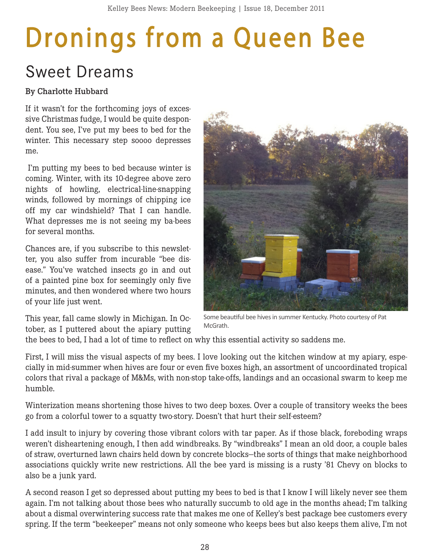## **Dronings from a Queen Bee**

## Sweet Dreams

## By Charlotte Hubbard

If it wasn't for the forthcoming joys of excessive Christmas fudge, I would be quite despondent. You see, I've put my bees to bed for the winter. This necessary step soooo depresses me.

 I'm putting my bees to bed because winter is coming. Winter, with its 10-degree above zero nights of howling, electrical-line-snapping winds, followed by mornings of chipping ice off my car windshield? That I can handle. What depresses me is not seeing my ba-bees for several months.

Chances are, if you subscribe to this newsletter, you also suffer from incurable "bee disease." You've watched insects go in and out of a painted pine box for seemingly only five minutes, and then wondered where two hours of your life just went.

This year, fall came slowly in Michigan. In October, as I puttered about the apiary putting



Some beautiful bee hives in summer Kentucky. Photo courtesy of Pat **McGrath** 

the bees to bed, I had a lot of time to reflect on why this essential activity so saddens me.

First, I will miss the visual aspects of my bees. I love looking out the kitchen window at my apiary, especially in mid-summer when hives are four or even five boxes high, an assortment of uncoordinated tropical colors that rival a package of M&Ms, with non-stop take-offs, landings and an occasional swarm to keep me humble.

Winterization means shortening those hives to two deep boxes. Over a couple of transitory weeks the bees go from a colorful tower to a squatty two-story. Doesn't that hurt their self-esteem?

I add insult to injury by covering those vibrant colors with tar paper. As if those black, foreboding wraps weren't disheartening enough, I then add windbreaks. By "windbreaks" I mean an old door, a couple bales of straw, overturned lawn chairs held down by concrete blocks—the sorts of things that make neighborhood associations quickly write new restrictions. All the bee yard is missing is a rusty '81 Chevy on blocks to also be a junk yard.

A second reason I get so depressed about putting my bees to bed is that I know I will likely never see them again. I'm not talking about those bees who naturally succumb to old age in the months ahead; I'm talking about a dismal overwintering success rate that makes me one of Kelley's best package bee customers every spring. If the term "beekeeper" means not only someone who keeps bees but also keeps them alive, I'm not